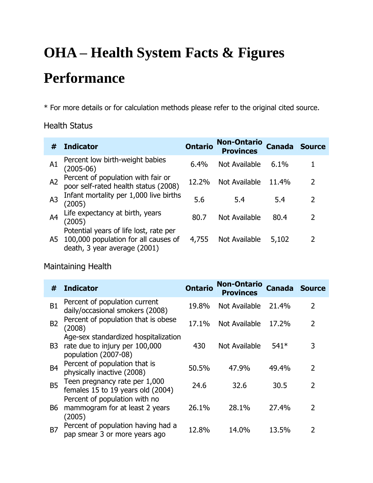# **OHA – Health System Facts & Figures**

## **Performance**

\* For more details or for calculation methods please refer to the original cited source.

### Health Status

| #              | <b>Indicator</b>                                                                                               | <b>Ontario</b> | <b>Non-Ontario</b><br><b>Provinces</b> | <b>Canada</b> | <b>Source</b> |
|----------------|----------------------------------------------------------------------------------------------------------------|----------------|----------------------------------------|---------------|---------------|
| A1             | Percent low birth-weight babies<br>(2005-06)                                                                   | 6.4%           | Not Available                          | 6.1%          |               |
| A <sub>2</sub> | Percent of population with fair or<br>poor self-rated health status (2008)                                     | 12.2%          | Not Available                          | 11.4%         | $\mathcal{L}$ |
| A <sub>3</sub> | Infant mortality per 1,000 live births<br>(2005)                                                               | 5.6            | 5.4                                    | 5.4           | 2             |
| A <sup>4</sup> | Life expectancy at birth, years<br>(2005)                                                                      | 80.7           | Not Available                          | 80.4          | $\mathcal{P}$ |
| A <sub>5</sub> | Potential years of life lost, rate per<br>100,000 population for all causes of<br>death, 3 year average (2001) | 4,755          | Not Available                          | 5,102         | 2             |

### Maintaining Health

| #              | <b>Indicator</b>                                                                               | <b>Ontario</b> | <b>Non-Ontario</b><br><b>Provinces</b> | <b>Canada</b> | <b>Source</b>            |
|----------------|------------------------------------------------------------------------------------------------|----------------|----------------------------------------|---------------|--------------------------|
| <b>B1</b>      | Percent of population current<br>daily/occasional smokers (2008)                               | 19.8%          | Not Available                          | 21.4%         | $\overline{2}$           |
| <b>B2</b>      | Percent of population that is obese<br>(2008)                                                  | 17.1%          | Not Available                          | 17.2%         | $\overline{2}$           |
| B <sub>3</sub> | Age-sex standardized hospitalization<br>rate due to injury per 100,000<br>population (2007-08) | 430            | Not Available                          | $541*$        | 3                        |
| <b>B4</b>      | Percent of population that is<br>physically inactive (2008)                                    | 50.5%          | 47.9%                                  | 49.4%         | $\overline{2}$           |
| <b>B5</b>      | Teen pregnancy rate per 1,000<br>females 15 to 19 years old (2004)                             | 24.6           | 32.6                                   | 30.5          | $\overline{2}$           |
| <b>B6</b>      | Percent of population with no<br>mammogram for at least 2 years<br>(2005)                      | 26.1%          | 28.1%                                  | 27.4%         | $\overline{2}$           |
| B <sub>7</sub> | Percent of population having had a<br>pap smear 3 or more years ago                            | 12.8%          | 14.0%                                  | 13.5%         | $\overline{\phantom{a}}$ |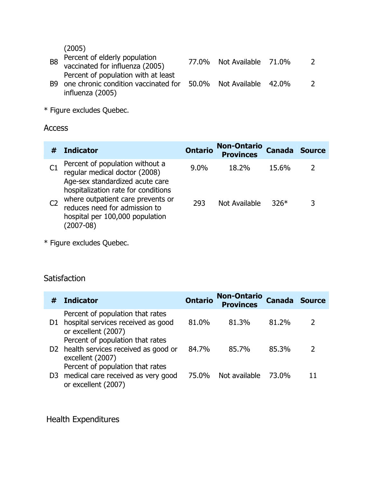(2005)

| B8 Percent of elderly population<br>B8 vaccinated for influenza (2005)                             | 77.0% Not Available 71.0% | 2 |
|----------------------------------------------------------------------------------------------------|---------------------------|---|
| Percent of population with at least<br>B9 one chronic condition vaccinated for<br>influenza (2005) | 50.0% Not Available 42.0% |   |

\* Figure excludes Quebec.

Access

| #              | <b>Indicator</b>                                                                                                                           | <b>Ontario</b> | <b>Non-Ontario</b><br><b>Provinces</b> | <b>Canada Source</b> |   |
|----------------|--------------------------------------------------------------------------------------------------------------------------------------------|----------------|----------------------------------------|----------------------|---|
| C1             | Percent of population without a<br>regular medical doctor (2008)<br>Age-sex standardized acute care<br>hospitalization rate for conditions | $9.0\%$        | 18.2%                                  | 15.6%                |   |
| C <sub>2</sub> | where outpatient care prevents or<br>reduces need for admission to<br>hospital per 100,000 population<br>$(2007 - 08)$                     | 293            | Not Available                          | $326*$               | 3 |

\* Figure excludes Quebec.

### **Satisfaction**

| #              | <b>Indicator</b>                                                                               | <b>Ontario</b> | <b>Non-Ontario</b><br><b>Provinces</b> | <b>Canada Source</b> |               |
|----------------|------------------------------------------------------------------------------------------------|----------------|----------------------------------------|----------------------|---------------|
| D1             | Percent of population that rates<br>hospital services received as good<br>or excellent (2007)  | 81.0%          | 81.3%                                  | 81.2%                | $\mathcal{L}$ |
|                | Percent of population that rates<br>D2 health services received as good or<br>excellent (2007) | 84.7%          | 85.7%                                  | 85.3%                | $\mathcal{L}$ |
| D <sub>3</sub> | Percent of population that rates<br>medical care received as very good<br>or excellent (2007)  | 75.0%          | Not available 73.0%                    |                      |               |

### Health Expenditures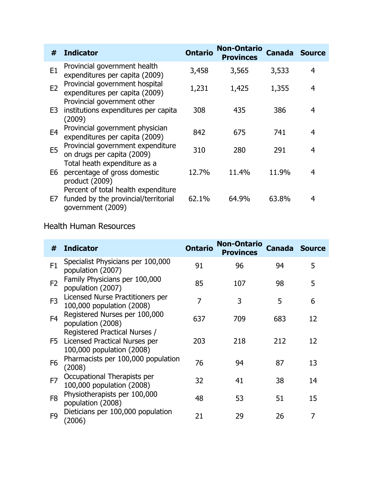| #              | <b>Indicator</b>                                                                                 | <b>Ontario</b> | <b>Non-Ontario</b><br>Provinces | Canada | <b>Source</b>  |
|----------------|--------------------------------------------------------------------------------------------------|----------------|---------------------------------|--------|----------------|
| E1             | Provincial government health<br>expenditures per capita (2009)                                   | 3,458          | 3,565                           | 3,533  | 4              |
| E <sub>2</sub> | Provincial government hospital<br>expenditures per capita (2009)<br>Provincial government other  | 1,231          | 1,425                           | 1,355  | $\overline{4}$ |
| E3             | institutions expenditures per capita<br>(2009)                                                   | 308            | 435                             | 386    | 4              |
| E <sub>4</sub> | Provincial government physician<br>expenditures per capita (2009)                                | 842            | 675                             | 741    | 4              |
| E <sub>5</sub> | Provincial government expenditure<br>on drugs per capita (2009)                                  | 310            | 280                             | 291    | 4              |
| E6             | Total heath expenditure as a<br>percentage of gross domestic<br>product (2009)                   | 12.7%          | 11.4%                           | 11.9%  | 4              |
| E7             | Percent of total health expenditure<br>funded by the provincial/territorial<br>government (2009) | 62.1%          | 64.9%                           | 63.8%  | 4              |

### Health Human Resources

| #              | <b>Indicator</b>                                                                            | Ontario | <b>Non-Ontario</b><br><b>Provinces</b> | <b>Canada</b> | <b>Source</b> |
|----------------|---------------------------------------------------------------------------------------------|---------|----------------------------------------|---------------|---------------|
| F1             | Specialist Physicians per 100,000<br>population (2007)                                      | 91      | 96                                     | 94            | 5             |
| F <sub>2</sub> | Family Physicians per 100,000<br>population (2007)                                          | 85      | 107                                    | 98            | 5             |
| F <sub>3</sub> | Licensed Nurse Practitioners per<br>100,000 population (2008)                               | 7       | 3                                      | 5             | 6             |
| F <sub>4</sub> | Registered Nurses per 100,000<br>population (2008)                                          | 637     | 709                                    | 683           | 12            |
| F5             | Registered Practical Nurses /<br>Licensed Practical Nurses per<br>100,000 population (2008) | 203     | 218                                    | 212           | 12            |
| F <sub>6</sub> | Pharmacists per 100,000 population<br>(2008)                                                | 76      | 94                                     | 87            | 13            |
| F7             | Occupational Therapists per<br>100,000 population (2008)                                    | 32      | 41                                     | 38            | 14            |
| F <sub>8</sub> | Physiotherapists per 100,000<br>population (2008)                                           | 48      | 53                                     | 51            | 15            |
| F <sub>9</sub> | Dieticians per 100,000 population<br>(2006)                                                 | 21      | 29                                     | 26            | 7             |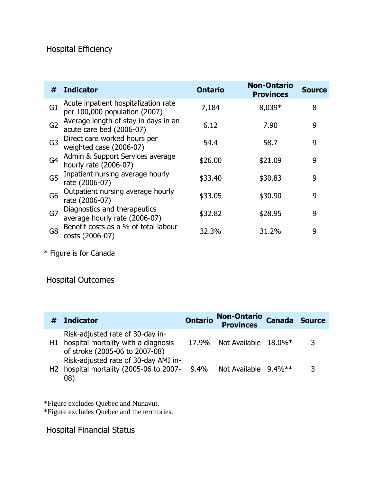### Hospital Efficiency

| #              | <b>Indicator</b>                                                      | <b>Ontario</b> | <b>Non-Ontario</b><br><b>Provinces</b> | <b>Source</b> |
|----------------|-----------------------------------------------------------------------|----------------|----------------------------------------|---------------|
| G1             | Acute inpatient hospitalization rate<br>per 100,000 population (2007) | 7,184          | $8,039*$                               | 8             |
| G <sub>2</sub> | Average length of stay in days in an<br>acute care bed (2006-07)      | 6.12           | 7.90                                   | 9             |
| G <sub>3</sub> | Direct care worked hours per<br>weighted case (2006-07)               | 54.4           | 58.7                                   | 9             |
| G <sub>4</sub> | Admin & Support Services average<br>hourly rate (2006-07)             | \$26.00        | \$21.09                                | 9             |
| G <sub>5</sub> | Inpatient nursing average hourly<br>rate (2006-07)                    | \$33.40        | \$30.83                                | 9             |
| G6             | Outpatient nursing average hourly<br>rate (2006-07)                   | \$33.05        | \$30.90                                | 9             |
| G7             | Diagnostics and therapeutics<br>average hourly rate (2006-07)         | \$32.82        | \$28.95                                | 9             |
| G8             | Benefit costs as a % of total labour<br>costs (2006-07)               | 32.3%          | 31.2%                                  | 9             |

\* Figure is for Canada

### Hospital Outcomes

| # | <b>Indicator</b>                                                                                             | <b>Ontario</b> | <b>Non-Ontario</b><br><b>Provinces</b> | <b>Canada Source</b> |   |
|---|--------------------------------------------------------------------------------------------------------------|----------------|----------------------------------------|----------------------|---|
|   | Risk-adjusted rate of 30-day in-<br>H1 hospital mortality with a diagnosis<br>of stroke (2005-06 to 2007-08) |                | 17.9% Not Available $18.0\%*$          |                      | 3 |
|   | Risk-adjusted rate of 30-day AMI in-<br>H2 hospital mortality (2005-06 to 2007-<br>08)                       | 9.4%           | Not Available $9.4\%**$                |                      | ર |

\*Figure excludes Quebec and Nunavut.

\*Figure excludes Quebec and the territories.

Hospital Financial Status